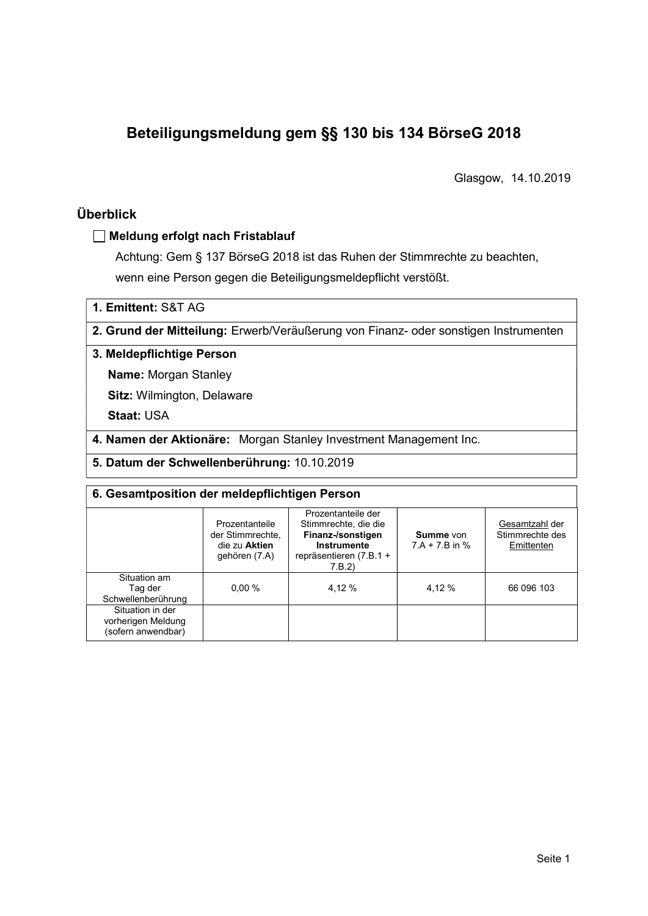# Beteiligungsmeldung gem §§ 130 bis 134 BörseG 2018

Glasgow, 14.10.2019

# Überblick

## Meldung erfolgt nach Fristablauf

Achtung: Gem § 137 BörseG 2018 ist das Ruhen der Stimmrechte zu beachten, wenn eine Person gegen die Beteiligungsmeldepflicht verstößt.

1. Emittent: S&T AG

2. Grund der Mitteilung: Erwerb/Veräußerung von Finanz- oder sonstigen Instrumenten

#### 3. Meldepflichtige Person

Name: Morgan Stanley

Sitz: Wilmington, Delaware

Staat: USA

4. Namen der Aktionäre: Morgan Stanley Investment Management Inc.

5. Datum der Schwellenberührung: 10.10.2019

# 6. Gesamtposition der meldepflichtigen Person

|                                                              | Prozentanteile<br>der Stimmrechte.<br>die zu Aktien<br>gehören (7.A) | Prozentanteile der<br>Stimmrechte, die die<br>Finanz-/sonstigen<br>Instrumente<br>repräsentieren (7.B.1 +<br>7.B.2 | Summe von<br>$7.A + 7.B$ in % | Gesamtzahl der<br>Stimmrechte des<br>Emittenten |
|--------------------------------------------------------------|----------------------------------------------------------------------|--------------------------------------------------------------------------------------------------------------------|-------------------------------|-------------------------------------------------|
| Situation am<br>Taq der<br>Schwellenberührung                | 0.00%                                                                | 4.12 %                                                                                                             | 4.12 %                        | 66 096 103                                      |
| Situation in der<br>vorherigen Meldung<br>(sofern anwendbar) |                                                                      |                                                                                                                    |                               |                                                 |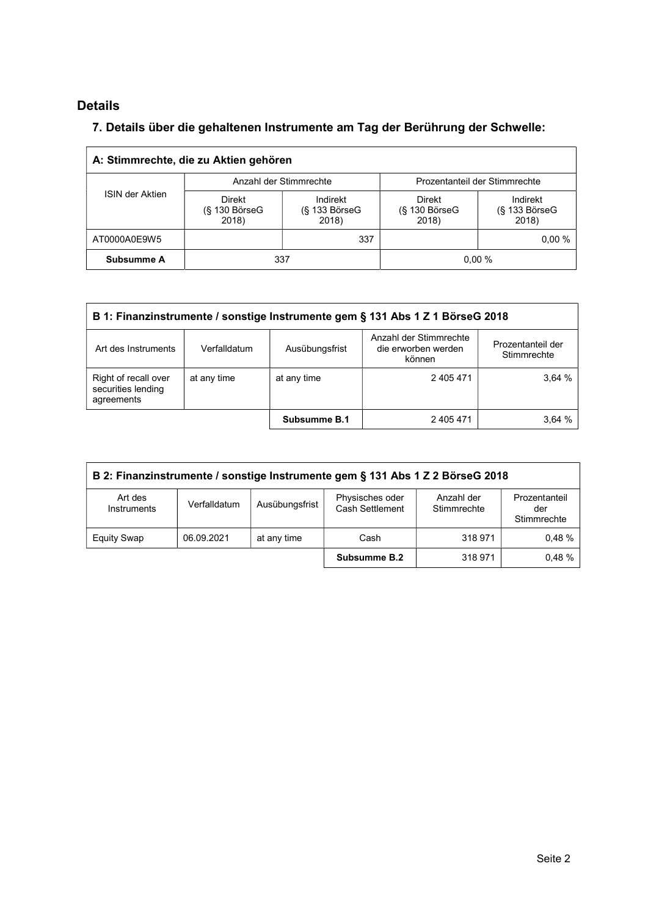# Details

 $\Gamma$ 

## 7. Details über die gehaltenen Instrumente am Tag der Berührung der Schwelle:

| A: Stimmrechte, die zu Aktien gehören |                                           |                                         |                                              |                                         |  |  |  |  |
|---------------------------------------|-------------------------------------------|-----------------------------------------|----------------------------------------------|-----------------------------------------|--|--|--|--|
| <b>ISIN der Aktien</b>                |                                           | Anzahl der Stimmrechte                  | Prozentanteil der Stimmrechte                |                                         |  |  |  |  |
|                                       | <b>Direkt</b><br>$(S$ 130 BörseG<br>2018) | Indirekt<br>$(S$ 133 Börse $G$<br>2018) | <b>Direkt</b><br>$(S$ 130 Börse $G$<br>2018) | Indirekt<br>$(S$ 133 Börse $G$<br>2018) |  |  |  |  |
| AT0000A0E9W5                          |                                           | 337                                     |                                              | 0.00%                                   |  |  |  |  |
| Subsumme A                            | 337                                       |                                         |                                              | 0.00%                                   |  |  |  |  |

| B 1: Finanzinstrumente / sonstige Instrumente gem § 131 Abs 1 Z 1 BörseG 2018 |              |                |                                                         |                                  |  |  |
|-------------------------------------------------------------------------------|--------------|----------------|---------------------------------------------------------|----------------------------------|--|--|
| Art des Instruments                                                           | Verfalldatum | Ausübungsfrist | Anzahl der Stimmrechte<br>die erworben werden<br>können | Prozentanteil der<br>Stimmrechte |  |  |
| Right of recall over<br>securities lending<br>agreements                      | 2 405 471    | 3.64%          |                                                         |                                  |  |  |
|                                                                               |              | Subsumme B.1   | 2 405 471                                               | 3.64%                            |  |  |

| B 2: Finanzinstrumente / sonstige Instrumente gem § 131 Abs 1 Z 2 BörseG 2018                                                                                      |            |             |              |         |       |  |
|--------------------------------------------------------------------------------------------------------------------------------------------------------------------|------------|-------------|--------------|---------|-------|--|
| Physisches oder<br>Art des<br>Anzahl der<br>Prozentanteil<br>Ausübungsfrist<br>Verfalldatum<br>Cash Settlement<br>Stimmrechte<br>Instruments<br>der<br>Stimmrechte |            |             |              |         |       |  |
| <b>Equity Swap</b>                                                                                                                                                 | 06.09.2021 | at any time | Cash         | 318 971 | 0.48% |  |
|                                                                                                                                                                    |            |             | Subsumme B.2 | 318 971 | 0.48% |  |

 $\overline{\phantom{a}}$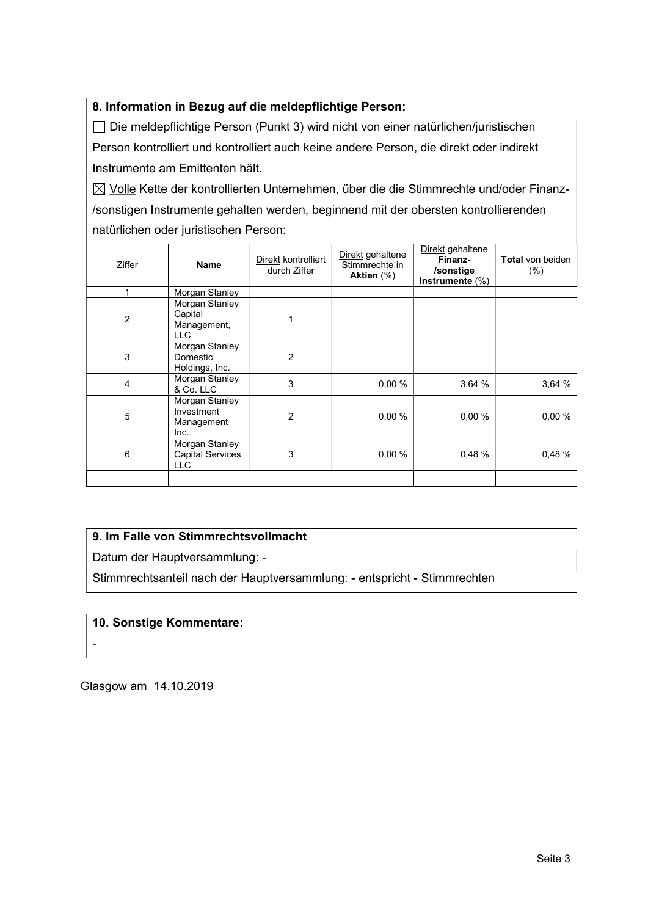## 8. Information in Bezug auf die meldepflichtige Person:

 Die meldepflichtige Person (Punkt 3) wird nicht von einer natürlichen/juristischen Person kontrolliert und kontrolliert auch keine andere Person, die direkt oder indirekt Instrumente am Emittenten hält.

 $\boxtimes$  Volle Kette der kontrollierten Unternehmen, über die die Stimmrechte und/oder Finanz-/sonstigen Instrumente gehalten werden, beginnend mit der obersten kontrollierenden natürlichen oder juristischen Person:

| <b>Ziffer</b>  | <b>Name</b>                                             | Direkt kontrolliert<br>durch Ziffer | Direkt gehaltene<br>Stimmrechte in<br>Aktien $(\%)$ | Direkt gehaltene<br>Finanz-<br>/sonstige<br>Instrumente $(\%)$ | <b>Total</b> von beiden<br>(% ) |
|----------------|---------------------------------------------------------|-------------------------------------|-----------------------------------------------------|----------------------------------------------------------------|---------------------------------|
|                | Morgan Stanley                                          |                                     |                                                     |                                                                |                                 |
| 2              | Morgan Stanley<br>Capital<br>Management,<br>LLC.        |                                     |                                                     |                                                                |                                 |
| 3              | Morgan Stanley<br>Domestic<br>Holdings, Inc.            | 2                                   |                                                     |                                                                |                                 |
| $\overline{4}$ | Morgan Stanley<br>& Co. LLC                             | 3                                   | 0.00%                                               | 3,64 %                                                         | 3,64 %                          |
| 5              | Morgan Stanley<br>Investment<br>Management<br>Inc.      | $\overline{2}$                      | 0.00%                                               | 0.00%                                                          | 0.00%                           |
| 6              | Morgan Stanley<br><b>Capital Services</b><br><b>LLC</b> | 3                                   | 0,00%                                               | 0.48%                                                          | 0.48 %                          |
|                |                                                         |                                     |                                                     |                                                                |                                 |

### 9. Im Falle von Stimmrechtsvollmacht

Datum der Hauptversammlung: -

Stimmrechtsanteil nach der Hauptversammlung: - entspricht - Stimmrechten

### 10. Sonstige Kommentare:

-

Glasgow am 14.10.2019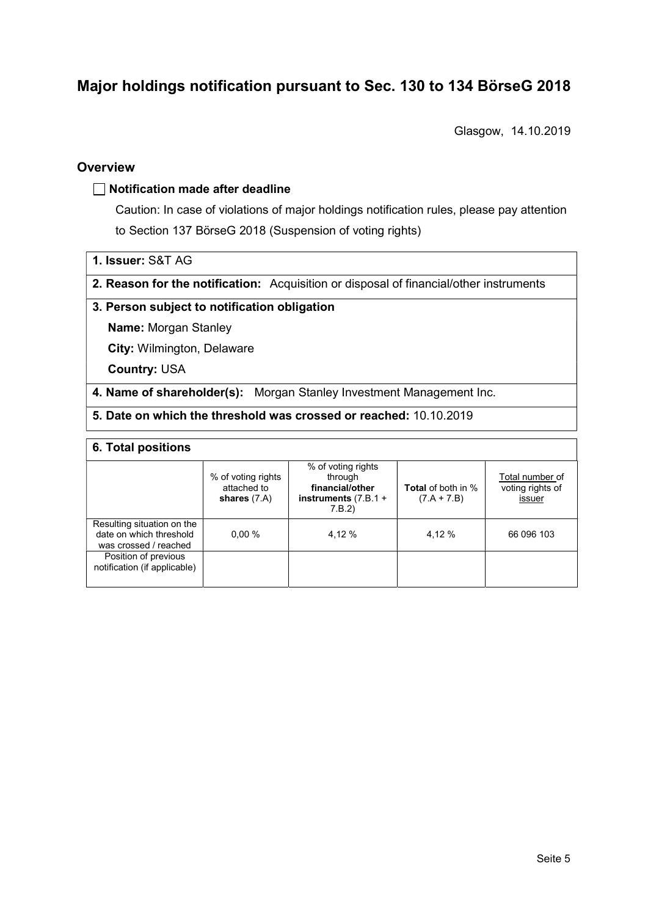# Major holdings notification pursuant to Sec. 130 to 134 BörseG 2018

Glasgow, 14.10.2019

## **Overview**

### $\Box$  Notification made after deadline

Caution: In case of violations of major holdings notification rules, please pay attention to Section 137 BörseG 2018 (Suspension of voting rights)

- 1. Issuer: S&T AG
- 2. Reason for the notification: Acquisition or disposal of financial/other instruments

### 3. Person subject to notification obligation

Name: Morgan Stanley

City: Wilmington, Delaware

Country: USA

4. Name of shareholder(s): Morgan Stanley Investment Management Inc.

5. Date on which the threshold was crossed or reached: 10.10.2019

#### 6. Total positions

|                                                                                | % of voting rights<br>attached to<br>shares $(7.A)$ | % of voting rights<br>through<br>financial/other<br>instruments $(7.B.1 +$<br>7.B.2) | <b>Total</b> of both in %<br>$(7.A + 7.B)$ | Total number of<br>voting rights of<br>issuer |
|--------------------------------------------------------------------------------|-----------------------------------------------------|--------------------------------------------------------------------------------------|--------------------------------------------|-----------------------------------------------|
| Resulting situation on the<br>date on which threshold<br>was crossed / reached | 0.00%                                               | 4.12 %                                                                               | 4.12 %                                     | 66 096 103                                    |
| Position of previous<br>notification (if applicable)                           |                                                     |                                                                                      |                                            |                                               |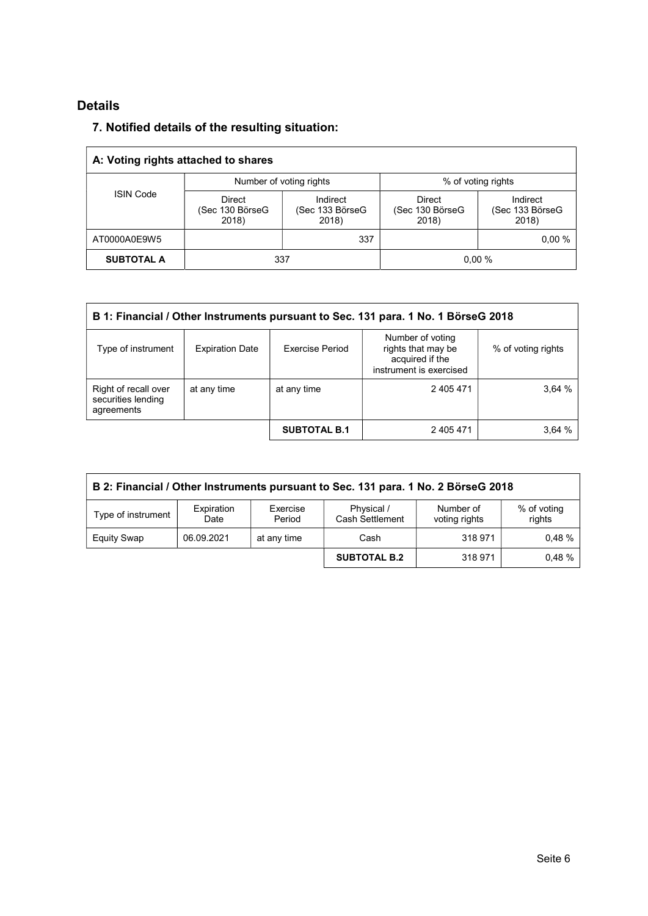# Details

## 7. Notified details of the resulting situation:

| A: Voting rights attached to shares |                                           |                                      |                                    |                                      |  |  |  |
|-------------------------------------|-------------------------------------------|--------------------------------------|------------------------------------|--------------------------------------|--|--|--|
|                                     | Number of voting rights                   |                                      | % of voting rights                 |                                      |  |  |  |
| <b>ISIN Code</b>                    | <b>Direct</b><br>(Sec 130 BörseG<br>2018) | Indirect<br>(Sec 133 BörseG<br>2018) | Direct<br>(Sec 130 BörseG<br>2018) | Indirect<br>(Sec 133 BörseG<br>2018) |  |  |  |
| AT0000A0E9W5                        |                                           | 337                                  |                                    | 0.00%                                |  |  |  |
| <b>SUBTOTAL A</b>                   |                                           | 337                                  |                                    | 0.00%                                |  |  |  |

| B 1: Financial / Other Instruments pursuant to Sec. 131 para. 1 No. 1 BörseG 2018 |                        |                     |                                                                                      |                    |  |  |  |
|-----------------------------------------------------------------------------------|------------------------|---------------------|--------------------------------------------------------------------------------------|--------------------|--|--|--|
| Type of instrument                                                                | <b>Expiration Date</b> | Exercise Period     | Number of voting<br>rights that may be<br>acquired if the<br>instrument is exercised | % of voting rights |  |  |  |
| Right of recall over<br>securities lending<br>agreements                          | at any time            | at any time         | 2 405 471                                                                            | 3,64%              |  |  |  |
|                                                                                   |                        | <b>SUBTOTAL B.1</b> | 2 405 471                                                                            | 3.64%              |  |  |  |

| B 2: Financial / Other Instruments pursuant to Sec. 131 para. 1 No. 2 BörseG 2018                                                                      |            |             |                     |         |       |  |  |
|--------------------------------------------------------------------------------------------------------------------------------------------------------|------------|-------------|---------------------|---------|-------|--|--|
| Exercise<br>Physical /<br>Number of<br>% of voting<br>Expiration<br>Type of instrument<br>Cash Settlement<br>rights<br>voting rights<br>Period<br>Date |            |             |                     |         |       |  |  |
| <b>Equity Swap</b>                                                                                                                                     | 06.09.2021 | at any time | Cash                | 318 971 | 0.48% |  |  |
|                                                                                                                                                        |            |             | <b>SUBTOTAL B.2</b> | 318 971 | 0.48% |  |  |